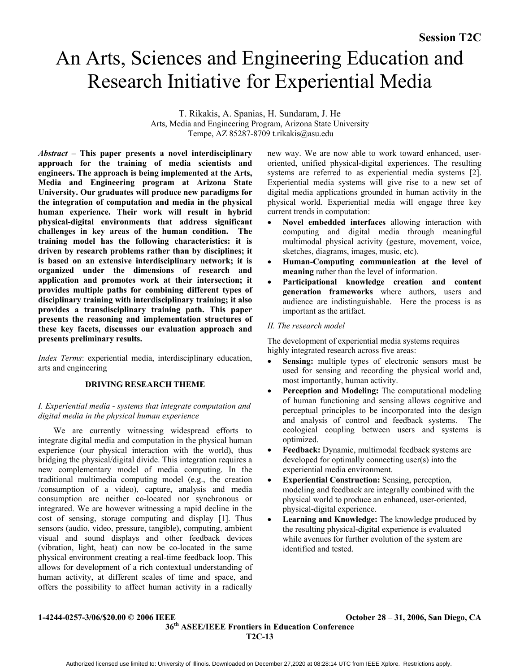# An Arts, Sciences and Engineering Education and Research Initiative for Experiential Media

T. Rikakis, A. Spanias, H. Sundaram, J. He Arts, Media and Engineering Program, Arizona State University Tempe, AZ 85287-8709 t.rikakis@asu.edu

*Abstract* **– This paper presents a novel interdisciplinary approach for the training of media scientists and engineers. The approach is being implemented at the Arts, Media and Engineering program at Arizona State University. Our graduates will produce new paradigms for the integration of computation and media in the physical human experience. Their work will result in hybrid physical-digital environments that address significant challenges in key areas of the human condition. The training model has the following characteristics: it is driven by research problems rather than by disciplines; it is based on an extensive interdisciplinary network; it is organized under the dimensions of research and application and promotes work at their intersection; it provides multiple paths for combining different types of disciplinary training with interdisciplinary training; it also provides a transdisciplinary training path. This paper presents the reasoning and implementation structures of these key facets, discusses our evaluation approach and presents preliminary results.** 

*Index Terms*: experiential media, interdisciplinary education, arts and engineering

# **DRIVING RESEARCH THEME**

### *I. Experiential media - systems that integrate computation and digital media in the physical human experience*

We are currently witnessing widespread efforts to integrate digital media and computation in the physical human experience (our physical interaction with the world), thus bridging the physical/digital divide. This integration requires a new complementary model of media computing. In the traditional multimedia computing model (e.g., the creation /consumption of a video), capture, analysis and media consumption are neither co-located nor synchronous or integrated. We are however witnessing a rapid decline in the cost of sensing, storage computing and display [1]. Thus sensors (audio, video, pressure, tangible), computing, ambient visual and sound displays and other feedback devices (vibration, light, heat) can now be co-located in the same physical environment creating a real-time feedback loop. This allows for development of a rich contextual understanding of human activity, at different scales of time and space, and offers the possibility to affect human activity in a radically

new way. We are now able to work toward enhanced, useroriented, unified physical-digital experiences. The resulting systems are referred to as experiential media systems [2]. Experiential media systems will give rise to a new set of digital media applications grounded in human activity in the physical world. Experiential media will engage three key current trends in computation:

- **Novel embedded interfaces** allowing interaction with computing and digital media through meaningful multimodal physical activity (gesture, movement, voice, sketches, diagrams, images, music, etc).
- **Human-Computing communication at the level of meaning** rather than the level of information.
- **Participational knowledge creation and content generation frameworks** where authors, users and audience are indistinguishable. Here the process is as important as the artifact.

# *II. The research model*

The development of experiential media systems requires highly integrated research across five areas:

- **Sensing:** multiple types of electronic sensors must be used for sensing and recording the physical world and, most importantly, human activity.
- Perception and Modeling: The computational modeling of human functioning and sensing allows cognitive and perceptual principles to be incorporated into the design and analysis of control and feedback systems. The ecological coupling between users and systems is optimized.
- **Feedback:** Dynamic, multimodal feedback systems are developed for optimally connecting user(s) into the experiential media environment.
- **Experiential Construction:** Sensing, perception, modeling and feedback are integrally combined with the physical world to produce an enhanced, user-oriented, physical-digital experience.
- **Learning and Knowledge:** The knowledge produced by the resulting physical-digital experience is evaluated while avenues for further evolution of the system are identified and tested.

# **1-4244-0257-3/06/\$20.00 © 2006 IEEE October 28 – 31, 2006, San Diego, CA**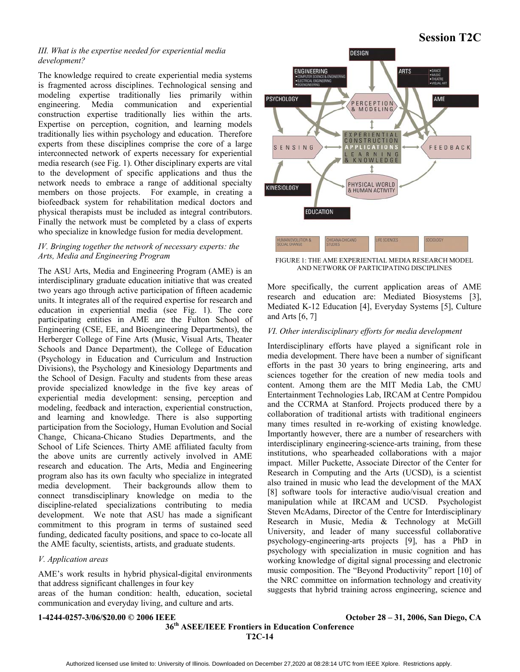# *III. What is the expertise needed for experiential media development?*

The knowledge required to create experiential media systems is fragmented across disciplines. Technological sensing and modeling expertise traditionally lies primarily within engineering. Media communication and experiential construction expertise traditionally lies within the arts. Expertise on perception, cognition, and learning models traditionally lies within psychology and education. Therefore experts from these disciplines comprise the core of a large interconnected network of experts necessary for experiential media research (see Fig. 1). Other disciplinary experts are vital to the development of specific applications and thus the network needs to embrace a range of additional specialty members on those projects. For example, in creating a biofeedback system for rehabilitation medical doctors and physical therapists must be included as integral contributors. Finally the network must be completed by a class of experts who specialize in knowledge fusion for media development.

# *IV. Bringing together the network of necessary experts: the Arts, Media and Engineering Program*

The ASU Arts, Media and Engineering Program (AME) is an interdisciplinary graduate education initiative that was created two years ago through active participation of fifteen academic units. It integrates all of the required expertise for research and education in experiential media (see Fig. 1). The core participating entities in AME are the Fulton School of Engineering (CSE, EE, and Bioengineering Departments), the Herberger College of Fine Arts (Music, Visual Arts, Theater Schools and Dance Department), the College of Education (Psychology in Education and Curriculum and Instruction Divisions), the Psychology and Kinesiology Departments and the School of Design. Faculty and students from these areas provide specialized knowledge in the five key areas of experiential media development: sensing, perception and modeling, feedback and interaction, experiential construction, and learning and knowledge. There is also supporting participation from the Sociology, Human Evolution and Social Change, Chicana-Chicano Studies Departments, and the School of Life Sciences. Thirty AME affiliated faculty from the above units are currently actively involved in AME research and education. The Arts, Media and Engineering program also has its own faculty who specialize in integrated media development. Their backgrounds allow them to connect transdisciplinary knowledge on media to the discipline-related specializations contributing to media development. We note that ASU has made a significant commitment to this program in terms of sustained seed funding, dedicated faculty positions, and space to co-locate all the AME faculty, scientists, artists, and graduate students.

#### *V. Application areas*

AME's work results in hybrid physical-digital environments that address significant challenges in four key

areas of the human condition: health, education, societal communication and everyday living, and culture and arts.



FIGURE 1: THE AME EXPERIENTIAL MEDIA RESEARCH MODEL AND NETWORK OF PARTICIPATING DISCIPLINES

More specifically, the current application areas of AME research and education are: Mediated Biosystems [3], Mediated K-12 Education [4], Everyday Systems [5], Culture and Arts [6, 7]

#### *VI. Other interdisciplinary efforts for media development*

Interdisciplinary efforts have played a significant role in media development. There have been a number of significant efforts in the past 30 years to bring engineering, arts and sciences together for the creation of new media tools and content. Among them are the MIT Media Lab, the CMU Entertainment Technologies Lab, IRCAM at Centre Pompidou and the CCRMA at Stanford. Projects produced there by a collaboration of traditional artists with traditional engineers many times resulted in re-working of existing knowledge. Importantly however, there are a number of researchers with interdisciplinary engineering-science-arts training, from these institutions, who spearheaded collaborations with a major impact. Miller Puckette, Associate Director of the Center for Research in Computing and the Arts (UCSD), is a scientist also trained in music who lead the development of the MAX [8] software tools for interactive audio/visual creation and manipulation while at IRCAM and UCSD. Psychologist Steven McAdams, Director of the Centre for Interdisciplinary Research in Music, Media & Technology at McGill University, and leader of many successful collaborative psychology-engineering-arts projects [9], has a PhD in psychology with specialization in music cognition and has working knowledge of digital signal processing and electronic music composition. The "Beyond Productivity" report [10] of the NRC committee on information technology and creativity suggests that hybrid training across engineering, science and

**1-4244-0257-3/06/\$20.00 © 2006 IEEE October 28 – 31, 2006, San Diego, CA**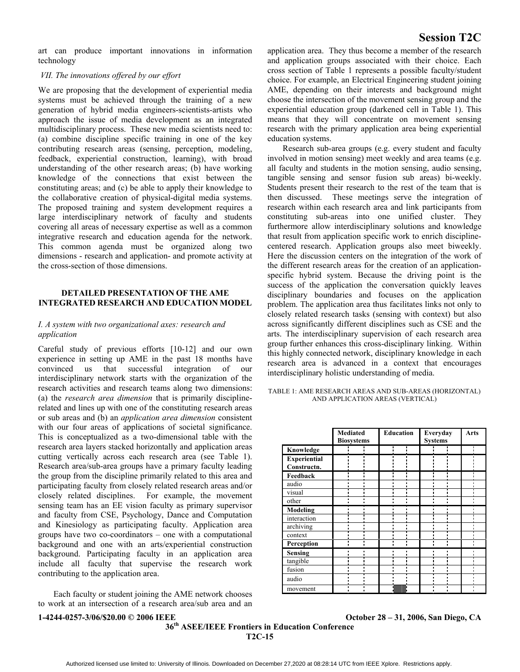art can produce important innovations in information technology

#### *VII. The innovations offered by our effort*

We are proposing that the development of experiential media systems must be achieved through the training of a new generation of hybrid media engineers-scientists-artists who approach the issue of media development as an integrated multidisciplinary process. These new media scientists need to: (a) combine discipline specific training in one of the key contributing research areas (sensing, perception, modeling, feedback, experiential construction, learning), with broad understanding of the other research areas; (b) have working knowledge of the connections that exist between the constituting areas; and (c) be able to apply their knowledge to the collaborative creation of physical-digital media systems. The proposed training and system development requires a large interdisciplinary network of faculty and students covering all areas of necessary expertise as well as a common integrative research and education agenda for the network. This common agenda must be organized along two dimensions - research and application- and promote activity at the cross-section of those dimensions.

#### **DETAILED PRESENTATION OF THE AME INTEGRATED RESEARCH AND EDUCATION MODEL**

#### *I. A system with two organizational axes: research and application*

Careful study of previous efforts [10-12] and our own experience in setting up AME in the past 18 months have convinced us that successful integration of our interdisciplinary network starts with the organization of the research activities and research teams along two dimensions: (a) the *research area dimension* that is primarily disciplinerelated and lines up with one of the constituting research areas or sub areas and (b) an *application area dimension* consistent with our four areas of applications of societal significance. This is conceptualized as a two-dimensional table with the research area layers stacked horizontally and application areas cutting vertically across each research area (see Table 1). Research area/sub-area groups have a primary faculty leading the group from the discipline primarily related to this area and participating faculty from closely related research areas and/or closely related disciplines. For example, the movement sensing team has an EE vision faculty as primary supervisor and faculty from CSE, Psychology, Dance and Computation and Kinesiology as participating faculty. Application area groups have two co-coordinators – one with a computational background and one with an arts/experiential construction background. Participating faculty in an application area include all faculty that supervise the research work contributing to the application area.

Each faculty or student joining the AME network chooses to work at an intersection of a research area/sub area and an

# **Session T2C**

application area. They thus become a member of the research and application groups associated with their choice. Each cross section of Table 1 represents a possible faculty/student choice. For example, an Electrical Engineering student joining AME, depending on their interests and background might choose the intersection of the movement sensing group and the experiential education group (darkened cell in Table 1). This means that they will concentrate on movement sensing research with the primary application area being experiential education systems.

Research sub-area groups (e.g. every student and faculty involved in motion sensing) meet weekly and area teams (e.g. all faculty and students in the motion sensing, audio sensing, tangible sensing and sensor fusion sub areas) bi-weekly. Students present their research to the rest of the team that is then discussed. These meetings serve the integration of research within each research area and link participants from constituting sub-areas into one unified cluster. They furthermore allow interdisciplinary solutions and knowledge that result from application specific work to enrich disciplinecentered research. Application groups also meet biweekly. Here the discussion centers on the integration of the work of the different research areas for the creation of an applicationspecific hybrid system. Because the driving point is the success of the application the conversation quickly leaves disciplinary boundaries and focuses on the application problem. The application area thus facilitates links not only to closely related research tasks (sensing with context) but also across significantly different disciplines such as CSE and the arts. The interdisciplinary supervision of each research area group further enhances this cross-disciplinary linking. Within this highly connected network, disciplinary knowledge in each research area is advanced in a context that encourages interdisciplinary holistic understanding of media.

#### TABLE 1: AME RESEARCH AREAS AND SUB-AREAS (HORIZONTAL) AND APPLICATION AREAS (VERTICAL)

|                                    | <b>Mediated</b><br><b>Biosystems</b> | <b>Education</b> | Everyday<br><b>Systems</b> | <b>Arts</b> |
|------------------------------------|--------------------------------------|------------------|----------------------------|-------------|
| Knowledge                          |                                      |                  |                            |             |
| <b>Experiential</b><br>Constructn. |                                      |                  |                            |             |
| Feedback                           |                                      |                  |                            |             |
| audio                              |                                      |                  |                            |             |
| visual                             |                                      |                  |                            |             |
| other                              |                                      |                  |                            |             |
| Modeling                           |                                      |                  |                            |             |
| interaction                        |                                      |                  |                            |             |
| archiving                          |                                      |                  |                            |             |
| context                            |                                      |                  |                            |             |
| Perception                         |                                      |                  |                            |             |
| <b>Sensing</b>                     |                                      |                  |                            |             |
| tangible                           |                                      |                  |                            |             |
| fusion                             |                                      |                  |                            |             |
| audio                              |                                      |                  |                            |             |
| movement                           |                                      |                  |                            |             |

**1-4244-0257-3/06/\$20.00 © 2006 IEEE October 28 – 31, 2006, San Diego, CA**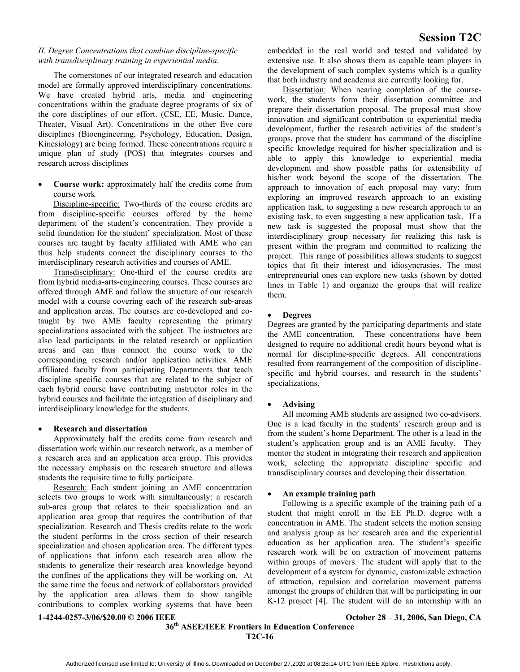# *II. Degree Concentrations that combine discipline-specific with transdisciplinary training in experiential media.*

The cornerstones of our integrated research and education model are formally approved interdisciplinary concentrations. We have created hybrid arts, media and engineering concentrations within the graduate degree programs of six of the core disciplines of our effort. (CSE, EE, Music, Dance, Theater, Visual Art). Concentrations in the other five core disciplines (Bioengineering, Psychology, Education, Design, Kinesiology) are being formed. These concentrations require a unique plan of study (POS) that integrates courses and research across disciplines

• **Course work:** approximately half the credits come from course work

Discipline-specific: Two-thirds of the course credits are from discipline-specific courses offered by the home department of the student's concentration. They provide a solid foundation for the student' specialization. Most of these courses are taught by faculty affiliated with AME who can thus help students connect the disciplinary courses to the interdisciplinary research activities and courses of AME.

Transdisciplinary: One-third of the course credits are from hybrid media-arts-engineering courses. These courses are offered through AME and follow the structure of our research model with a course covering each of the research sub-areas and application areas. The courses are co-developed and cotaught by two AME faculty representing the primary specializations associated with the subject. The instructors are also lead participants in the related research or application areas and can thus connect the course work to the corresponding research and/or application activities. AME affiliated faculty from participating Departments that teach discipline specific courses that are related to the subject of each hybrid course have contributing instructor roles in the hybrid courses and facilitate the integration of disciplinary and interdisciplinary knowledge for the students.

# • **Research and dissertation**

Approximately half the credits come from research and dissertation work within our research network, as a member of a research area and an application area group. This provides the necessary emphasis on the research structure and allows students the requisite time to fully participate.

Research: Each student joining an AME concentration selects two groups to work with simultaneously: a research sub-area group that relates to their specialization and an application area group that requires the contribution of that specialization. Research and Thesis credits relate to the work the student performs in the cross section of their research specialization and chosen application area. The different types of applications that inform each research area allow the students to generalize their research area knowledge beyond the confines of the applications they will be working on. At the same time the focus and network of collaborators provided by the application area allows them to show tangible contributions to complex working systems that have been

embedded in the real world and tested and validated by extensive use. It also shows them as capable team players in the development of such complex systems which is a quality that both industry and academia are currently looking for.

Dissertation: When nearing completion of the coursework, the students form their dissertation committee and prepare their dissertation proposal. The proposal must show innovation and significant contribution to experiential media development, further the research activities of the student's groups, prove that the student has command of the discipline specific knowledge required for his/her specialization and is able to apply this knowledge to experiential media development and show possible paths for extensibility of his/her work beyond the scope of the dissertation*.* The approach to innovation of each proposal may vary; from exploring an improved research approach to an existing application task, to suggesting a new research approach to an existing task, to even suggesting a new application task. If a new task is suggested the proposal must show that the interdisciplinary group necessary for realizing this task is present within the program and committed to realizing the project. This range of possibilities allows students to suggest topics that fit their interest and idiosyncrasies. The most entrepreneurial ones can explore new tasks (shown by dotted lines in Table 1) and organize the groups that will realize them.

# • **Degrees**

Degrees are granted by the participating departments and state the AME concentration. These concentrations have been designed to require no additional credit hours beyond what is normal for discipline-specific degrees. All concentrations resulted from rearrangement of the composition of disciplinespecific and hybrid courses, and research in the students' specializations.

# • **Advising**

All incoming AME students are assigned two co-advisors. One is a lead faculty in the students' research group and is from the student's home Department. The other is a lead in the student's application group and is an AME faculty. They mentor the student in integrating their research and application work, selecting the appropriate discipline specific and transdisciplinary courses and developing their dissertation.

#### • **An example training path**

Following is a specific example of the training path of a student that might enroll in the EE Ph.D. degree with a concentration in AME. The student selects the motion sensing and analysis group as her research area and the experiential education as her application area. The student's specific research work will be on extraction of movement patterns within groups of movers. The student will apply that to the development of a system for dynamic, customizable extraction of attraction, repulsion and correlation movement patterns amongst the groups of children that will be participating in our K-12 project [4]. The student will do an internship with an

#### **1-4244-0257-3/06/\$20.00 © 2006 IEEE October 28 – 31, 2006, San Diego, CA**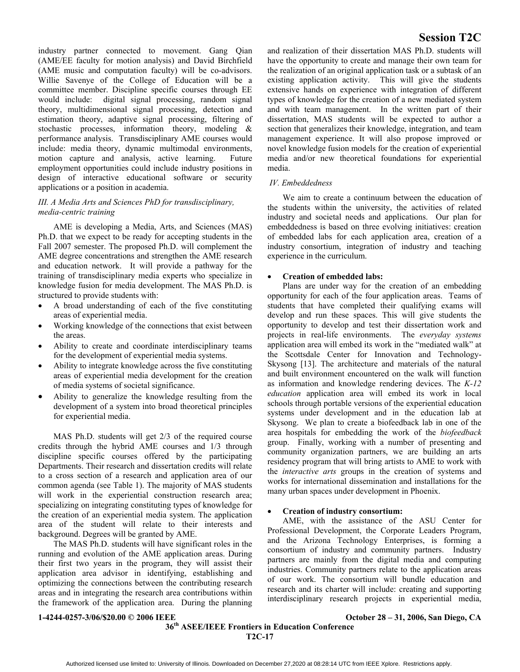industry partner connected to movement. Gang Qian (AME/EE faculty for motion analysis) and David Birchfield (AME music and computation faculty) will be co-advisors. Willie Savenye of the College of Education will be a committee member. Discipline specific courses through EE would include: digital signal processing, random signal theory, multidimensional signal processing, detection and estimation theory, adaptive signal processing, filtering of stochastic processes, information theory, modeling & performance analysis. Transdisciplinary AME courses would include: media theory, dynamic multimodal environments, motion capture and analysis, active learning. Future employment opportunities could include industry positions in design of interactive educational software or security applications or a position in academia.

# *III. A Media Arts and Sciences PhD for transdisciplinary, media-centric training*

AME is developing a Media, Arts, and Sciences (MAS) Ph.D. that we expect to be ready for accepting students in the Fall 2007 semester. The proposed Ph.D. will complement the AME degree concentrations and strengthen the AME research and education network. It will provide a pathway for the training of transdisciplinary media experts who specialize in knowledge fusion for media development. The MAS Ph.D. is structured to provide students with:

- A broad understanding of each of the five constituting areas of experiential media.
- Working knowledge of the connections that exist between the areas.
- Ability to create and coordinate interdisciplinary teams for the development of experiential media systems.
- Ability to integrate knowledge across the five constituting areas of experiential media development for the creation of media systems of societal significance.
- Ability to generalize the knowledge resulting from the development of a system into broad theoretical principles for experiential media.

MAS Ph.D. students will get 2/3 of the required course credits through the hybrid AME courses and 1/3 through discipline specific courses offered by the participating Departments. Their research and dissertation credits will relate to a cross section of a research and application area of our common agenda (see Table 1). The majority of MAS students will work in the experiential construction research area; specializing on integrating constituting types of knowledge for the creation of an experiential media system. The application area of the student will relate to their interests and background. Degrees will be granted by AME.

The MAS Ph.D. students will have significant roles in the running and evolution of the AME application areas. During their first two years in the program, they will assist their application area advisor in identifying, establishing and optimizing the connections between the contributing research areas and in integrating the research area contributions within the framework of the application area. During the planning

# **Session T2C**

and realization of their dissertation MAS Ph.D. students will have the opportunity to create and manage their own team for the realization of an original application task or a subtask of an existing application activity. This will give the students extensive hands on experience with integration of different types of knowledge for the creation of a new mediated system and with team management. In the written part of their dissertation, MAS students will be expected to author a section that generalizes their knowledge, integration, and team management experience. It will also propose improved or novel knowledge fusion models for the creation of experiential media and/or new theoretical foundations for experiential media.

#### *IV. Embeddedness*

We aim to create a continuum between the education of the students within the university, the activities of related industry and societal needs and applications. Our plan for embeddedness is based on three evolving initiatives: creation of embedded labs for each application area, creation of a industry consortium, integration of industry and teaching experience in the curriculum.

#### • **Creation of embedded labs:**

Plans are under way for the creation of an embedding opportunity for each of the four application areas. Teams of students that have completed their qualifying exams will develop and run these spaces. This will give students the opportunity to develop and test their dissertation work and projects in real-life environments. The *everyday systems* application area will embed its work in the "mediated walk" at the Scottsdale Center for Innovation and Technology-Skysong [13]. The architecture and materials of the natural and built environment encountered on the walk will function as information and knowledge rendering devices. The *K-12 education* application area will embed its work in local schools through portable versions of the experiential education systems under development and in the education lab at Skysong. We plan to create a biofeedback lab in one of the area hospitals for embedding the work of the *biofeedback* group. Finally, working with a number of presenting and community organization partners, we are building an arts residency program that will bring artists to AME to work with the *interactive arts* groups in the creation of systems and works for international dissemination and installations for the many urban spaces under development in Phoenix.

#### • **Creation of industry consortium:**

AME, with the assistance of the ASU Center for Professional Development, the Corporate Leaders Program, and the Arizona Technology Enterprises, is forming a consortium of industry and community partners. Industry partners are mainly from the digital media and computing industries. Community partners relate to the application areas of our work. The consortium will bundle education and research and its charter will include: creating and supporting interdisciplinary research projects in experiential media,

# **1-4244-0257-3/06/\$20.00 © 2006 IEEE October 28 – 31, 2006, San Diego, CA**